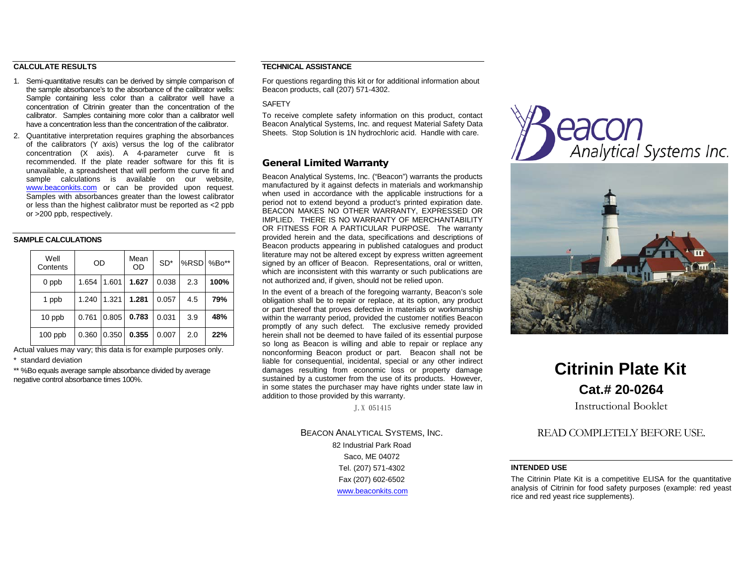# **CALCULATE RESULTS**

- 1. Semi-quantitative results can be derived by simple comparison of the sample absorbance's to the absorbance of the calibrator wells: Sample containing less color than a calibrator well have a concentration of Citrinin greater than the concentration of the calibrator. Samples containing more color than a calibrator well have a concentration less than the concentration of the calibrator.
- 2. Quantitative interpretation requires graphing the absorbances of the calibrators (Y axis) versus the log of the calibrator concentration (X axis). A 4-parameter curve fit is recommended. If the plate reader software for this fit is unavailable, a spreadsheet that will perform the curve fit and sample calculations is available on our website, [www.beaconkits.com](http://www.beaconkits.com/) or can be provided upon request. Samples with absorbances greater than the lowest calibrator or less than the highest calibrator must be reported as <2 ppb or >200 ppb, respectively.

# **SAMPLE CALCULATIONS**

| Well<br>Contents | OD    |       | Mean<br>OD | $SD*$ | %RSD | $%Bo**$ |
|------------------|-------|-------|------------|-------|------|---------|
| 0 ppb            | 1.654 | 1.601 | 1.627      | 0.038 | 2.3  | 100%    |
| 1 ppb            | 1.240 | 1.321 | 1.281      | 0.057 | 4.5  | 79%     |
| 10 ppb           | 0.761 | 0.805 | 0.783      | 0.031 | 3.9  | 48%     |
| $100$ ppb        | 0.360 | 0.350 | 0.355      | 0.007 | 2.0  | 22%     |

Actual values may vary; this data is for example purposes only. \* standard deviation

\*\* %Bo equals average sample absorbance divided by average negative control absorbance times 100%.

### **TECHNICAL ASSISTANCE**

For questions regarding this kit or for additional information about Beacon products, call (207) 571-4302.

## **SAFFTY**

To receive complete safety information on this product, contact Beacon Analytical Systems, Inc. and request Material Safety Data Sheets. Stop Solution is 1N hydrochloric acid. Handle with care.

# General Limited Warranty

Beacon Analytical Systems, Inc. ("Beacon") warrants the products manufactured by it against defects in materials and workmanship when used in accordance with the applicable instructions for a period not to extend beyond a product's printed expiration date. BEACON MAKES NO OTHER WARRANTY, EXPRESSED OR IMPLIED. THERE IS NO WARRANTY OF MERCHANTABILITY OR FITNESS FOR A PARTICULAR PURPOSE. The warranty provided herein and the data, specifications and descriptions of Beacon products appearing in published catalogues and product literature may not be altered except by express written agreement signed by an officer of Beacon. Representations, oral or written, which are inconsistent with this warranty or such publications are not authorized and, if given, should not be relied upon.

In the event of a breach of the foregoing warranty, Beacon's sole obligation shall be to repair or replace, at its option, any product or part thereof that proves defective in materials or workmanship within the warranty period, provided the customer notifies Beacon promptly of any such defect. The exclusive remedy provided herein shall not be deemed to have failed of its essential purpose so long as Beacon is willing and able to repair or replace any nonconforming Beacon product or part. Beacon shall not be liable for consequential, incidental, special or any other indirect damages resulting from economic loss or property damage sustained by a customer from the use of its products. However, in some states the purchaser may have rights under state law in addition to those provided by this warranty.

J.X 051415

BEACON ANALYTICAL SYSTEMS, INC. 82 Industrial Park Road Saco, ME 04072 Tel. (207) 571-4302 Fax (207) 602-6502 [www.beaconkits.com](http://www.beaconkits.com/)





# **Citrinin Plate Kit Cat.# 20-0264**

Instructional Booklet

# READ COMPLETELY BEFORE USE.

## **INTENDED USE**

The Citrinin Plate Kit is a competitive ELISA for the quantitative analysis of Citrinin for food safety purposes (example: red yeast rice and red yeast rice supplements).